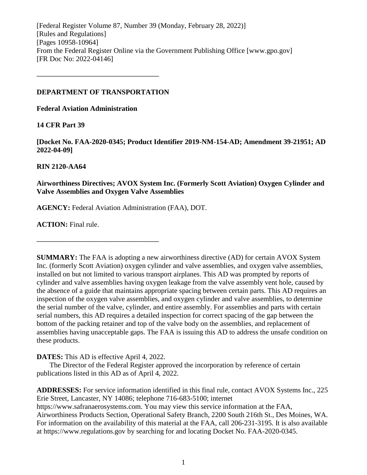[Federal Register Volume 87, Number 39 (Monday, February 28, 2022)] [Rules and Regulations] [Pages 10958-10964] From the Federal Register Online via the Government Publishing Office [www.gpo.gov] [FR Doc No: 2022-04146]

## **DEPARTMENT OF TRANSPORTATION**

**––––––––––––––––––––––––––––––––––**

**Federal Aviation Administration**

# **14 CFR Part 39**

**[Docket No. FAA-2020-0345; Product Identifier 2019-NM-154-AD; Amendment 39-21951; AD 2022-04-09]**

# **RIN 2120-AA64**

# **Airworthiness Directives; AVOX System Inc. (Formerly Scott Aviation) Oxygen Cylinder and Valve Assemblies and Oxygen Valve Assemblies**

**AGENCY:** Federal Aviation Administration (FAA), DOT.

**ACTION:** Final rule.

**SUMMARY:** The FAA is adopting a new airworthiness directive (AD) for certain AVOX System Inc. (formerly Scott Aviation) oxygen cylinder and valve assemblies, and oxygen valve assemblies, installed on but not limited to various transport airplanes. This AD was prompted by reports of cylinder and valve assemblies having oxygen leakage from the valve assembly vent hole, caused by the absence of a guide that maintains appropriate spacing between certain parts. This AD requires an inspection of the oxygen valve assemblies, and oxygen cylinder and valve assemblies, to determine the serial number of the valve, cylinder, and entire assembly. For assemblies and parts with certain serial numbers, this AD requires a detailed inspection for correct spacing of the gap between the bottom of the packing retainer and top of the valve body on the assemblies, and replacement of assemblies having unacceptable gaps. The FAA is issuing this AD to address the unsafe condition on these products.

**DATES:** This AD is effective April 4, 2022.

**––––––––––––––––––––––––––––––––––**

The Director of the Federal Register approved the incorporation by reference of certain publications listed in this AD as of April 4, 2022.

**ADDRESSES:** For service information identified in this final rule, contact AVOX Systems Inc., 225 Erie Street, Lancaster, NY 14086; telephone 716-683-5100; internet https://www.safranaerosystems.com. You may view this service information at the FAA, Airworthiness Products Section, Operational Safety Branch, 2200 South 216th St., Des Moines, WA. For information on the availability of this material at the FAA, call 206-231-3195. It is also available at https://www.regulations.gov by searching for and locating Docket No. FAA-2020-0345.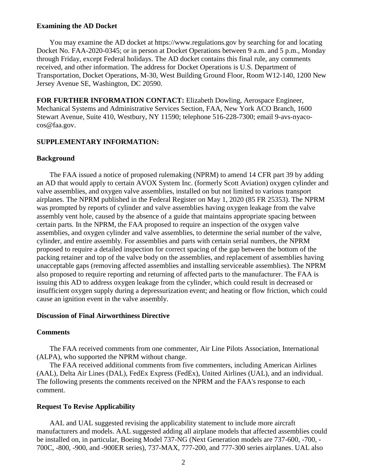## **Examining the AD Docket**

You may examine the AD docket at https://www.regulations.gov by searching for and locating Docket No. FAA-2020-0345; or in person at Docket Operations between 9 a.m. and 5 p.m., Monday through Friday, except Federal holidays. The AD docket contains this final rule, any comments received, and other information. The address for Docket Operations is U.S. Department of Transportation, Docket Operations, M-30, West Building Ground Floor, Room W12-140, 1200 New Jersey Avenue SE, Washington, DC 20590.

**FOR FURTHER INFORMATION CONTACT:** Elizabeth Dowling, Aerospace Engineer, Mechanical Systems and Administrative Services Section, FAA, New York ACO Branch, 1600 Stewart Avenue, Suite 410, Westbury, NY 11590; telephone 516-228-7300; email 9-avs-nyacocos@faa.gov.

## **SUPPLEMENTARY INFORMATION:**

#### **Background**

The FAA issued a notice of proposed rulemaking (NPRM) to amend 14 CFR part 39 by adding an AD that would apply to certain AVOX System Inc. (formerly Scott Aviation) oxygen cylinder and valve assemblies, and oxygen valve assemblies, installed on but not limited to various transport airplanes. The NPRM published in the Federal Register on May 1, 2020 (85 FR 25353). The NPRM was prompted by reports of cylinder and valve assemblies having oxygen leakage from the valve assembly vent hole, caused by the absence of a guide that maintains appropriate spacing between certain parts. In the NPRM, the FAA proposed to require an inspection of the oxygen valve assemblies, and oxygen cylinder and valve assemblies, to determine the serial number of the valve, cylinder, and entire assembly. For assemblies and parts with certain serial numbers, the NPRM proposed to require a detailed inspection for correct spacing of the gap between the bottom of the packing retainer and top of the valve body on the assemblies, and replacement of assemblies having unacceptable gaps (removing affected assemblies and installing serviceable assemblies). The NPRM also proposed to require reporting and returning of affected parts to the manufacturer. The FAA is issuing this AD to address oxygen leakage from the cylinder, which could result in decreased or insufficient oxygen supply during a depressurization event; and heating or flow friction, which could cause an ignition event in the valve assembly.

#### **Discussion of Final Airworthiness Directive**

#### **Comments**

The FAA received comments from one commenter, Air Line Pilots Association, International (ALPA), who supported the NPRM without change.

The FAA received additional comments from five commenters, including American Airlines (AAL), Delta Air Lines (DAL), FedEx Express (FedEx), United Airlines (UAL), and an individual. The following presents the comments received on the NPRM and the FAA's response to each comment.

## **Request To Revise Applicability**

AAL and UAL suggested revising the applicability statement to include more aircraft manufacturers and models. AAL suggested adding all airplane models that affected assemblies could be installed on, in particular, Boeing Model 737-NG (Next Generation models are 737-600, -700, - 700C, -800, -900, and -900ER series), 737-MAX, 777-200, and 777-300 series airplanes. UAL also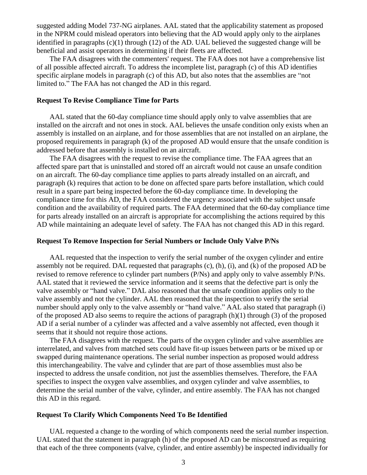suggested adding Model 737-NG airplanes. AAL stated that the applicability statement as proposed in the NPRM could mislead operators into believing that the AD would apply only to the airplanes identified in paragraphs  $(c)(1)$  through  $(12)$  of the AD. UAL believed the suggested change will be beneficial and assist operators in determining if their fleets are affected.

The FAA disagrees with the commenters' request. The FAA does not have a comprehensive list of all possible affected aircraft. To address the incomplete list, paragraph (c) of this AD identifies specific airplane models in paragraph (c) of this AD, but also notes that the assemblies are "not limited to." The FAA has not changed the AD in this regard.

#### **Request To Revise Compliance Time for Parts**

AAL stated that the 60-day compliance time should apply only to valve assemblies that are installed on the aircraft and not ones in stock. AAL believes the unsafe condition only exists when an assembly is installed on an airplane, and for those assemblies that are not installed on an airplane, the proposed requirements in paragraph (k) of the proposed AD would ensure that the unsafe condition is addressed before that assembly is installed on an aircraft.

The FAA disagrees with the request to revise the compliance time. The FAA agrees that an affected spare part that is uninstalled and stored off an aircraft would not cause an unsafe condition on an aircraft. The 60-day compliance time applies to parts already installed on an aircraft, and paragraph (k) requires that action to be done on affected spare parts before installation, which could result in a spare part being inspected before the 60-day compliance time. In developing the compliance time for this AD, the FAA considered the urgency associated with the subject unsafe condition and the availability of required parts. The FAA determined that the 60-day compliance time for parts already installed on an aircraft is appropriate for accomplishing the actions required by this AD while maintaining an adequate level of safety. The FAA has not changed this AD in this regard.

#### **Request To Remove Inspection for Serial Numbers or Include Only Valve P/Ns**

AAL requested that the inspection to verify the serial number of the oxygen cylinder and entire assembly not be required. DAL requested that paragraphs (c), (h), (i), and (k) of the proposed AD be revised to remove reference to cylinder part numbers (P/Ns) and apply only to valve assembly P/Ns. AAL stated that it reviewed the service information and it seems that the defective part is only the valve assembly or "hand valve." DAL also reasoned that the unsafe condition applies only to the valve assembly and not the cylinder. AAL then reasoned that the inspection to verify the serial number should apply only to the valve assembly or "hand valve." AAL also stated that paragraph (i) of the proposed AD also seems to require the actions of paragraph  $(h)(1)$  through (3) of the proposed AD if a serial number of a cylinder was affected and a valve assembly not affected, even though it seems that it should not require those actions.

The FAA disagrees with the request. The parts of the oxygen cylinder and valve assemblies are interrelated, and valves from matched sets could have fit-up issues between parts or be mixed up or swapped during maintenance operations. The serial number inspection as proposed would address this interchangeability. The valve and cylinder that are part of those assemblies must also be inspected to address the unsafe condition, not just the assemblies themselves. Therefore, the FAA specifies to inspect the oxygen valve assemblies, and oxygen cylinder and valve assemblies, to determine the serial number of the valve, cylinder, and entire assembly. The FAA has not changed this AD in this regard.

### **Request To Clarify Which Components Need To Be Identified**

UAL requested a change to the wording of which components need the serial number inspection. UAL stated that the statement in paragraph (h) of the proposed AD can be misconstrued as requiring that each of the three components (valve, cylinder, and entire assembly) be inspected individually for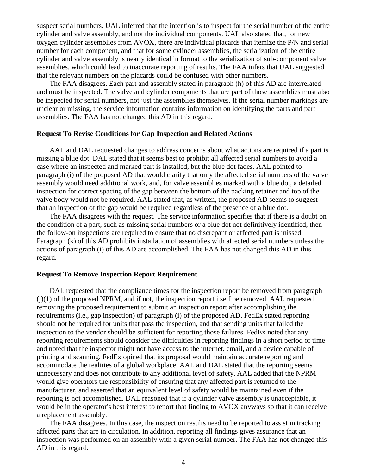suspect serial numbers. UAL inferred that the intention is to inspect for the serial number of the entire cylinder and valve assembly, and not the individual components. UAL also stated that, for new oxygen cylinder assemblies from AVOX, there are individual placards that itemize the P/N and serial number for each component, and that for some cylinder assemblies, the serialization of the entire cylinder and valve assembly is nearly identical in format to the serialization of sub-component valve assemblies, which could lead to inaccurate reporting of results. The FAA infers that UAL suggested that the relevant numbers on the placards could be confused with other numbers.

The FAA disagrees. Each part and assembly stated in paragraph (h) of this AD are interrelated and must be inspected. The valve and cylinder components that are part of those assemblies must also be inspected for serial numbers, not just the assemblies themselves. If the serial number markings are unclear or missing, the service information contains information on identifying the parts and part assemblies. The FAA has not changed this AD in this regard.

#### **Request To Revise Conditions for Gap Inspection and Related Actions**

AAL and DAL requested changes to address concerns about what actions are required if a part is missing a blue dot. DAL stated that it seems best to prohibit all affected serial numbers to avoid a case where an inspected and marked part is installed, but the blue dot fades. AAL pointed to paragraph (i) of the proposed AD that would clarify that only the affected serial numbers of the valve assembly would need additional work, and, for valve assemblies marked with a blue dot, a detailed inspection for correct spacing of the gap between the bottom of the packing retainer and top of the valve body would not be required. AAL stated that, as written, the proposed AD seems to suggest that an inspection of the gap would be required regardless of the presence of a blue dot.

The FAA disagrees with the request. The service information specifies that if there is a doubt on the condition of a part, such as missing serial numbers or a blue dot not definitively identified, then the follow-on inspections are required to ensure that no discrepant or affected part is missed. Paragraph (k) of this AD prohibits installation of assemblies with affected serial numbers unless the actions of paragraph (i) of this AD are accomplished. The FAA has not changed this AD in this regard.

### **Request To Remove Inspection Report Requirement**

DAL requested that the compliance times for the inspection report be removed from paragraph  $(j)(1)$  of the proposed NPRM, and if not, the inspection report itself be removed. AAL requested removing the proposed requirement to submit an inspection report after accomplishing the requirements (i.e., gap inspection) of paragraph (i) of the proposed AD. FedEx stated reporting should not be required for units that pass the inspection, and that sending units that failed the inspection to the vendor should be sufficient for reporting those failures. FedEx noted that any reporting requirements should consider the difficulties in reporting findings in a short period of time and noted that the inspector might not have access to the internet, email, and a device capable of printing and scanning. FedEx opined that its proposal would maintain accurate reporting and accommodate the realities of a global workplace. AAL and DAL stated that the reporting seems unnecessary and does not contribute to any additional level of safety. AAL added that the NPRM would give operators the responsibility of ensuring that any affected part is returned to the manufacturer, and asserted that an equivalent level of safety would be maintained even if the reporting is not accomplished. DAL reasoned that if a cylinder valve assembly is unacceptable, it would be in the operator's best interest to report that finding to AVOX anyways so that it can receive a replacement assembly.

The FAA disagrees. In this case, the inspection results need to be reported to assist in tracking affected parts that are in circulation. In addition, reporting all findings gives assurance that an inspection was performed on an assembly with a given serial number. The FAA has not changed this AD in this regard.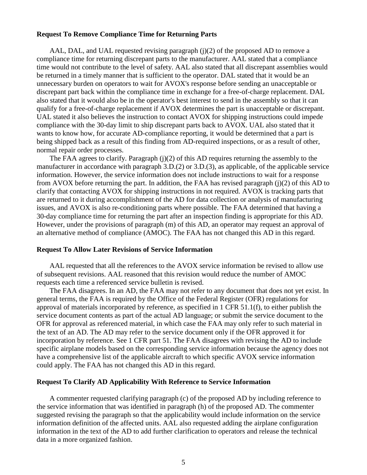### **Request To Remove Compliance Time for Returning Parts**

AAL, DAL, and UAL requested revising paragraph (j)(2) of the proposed AD to remove a compliance time for returning discrepant parts to the manufacturer. AAL stated that a compliance time would not contribute to the level of safety. AAL also stated that all discrepant assemblies would be returned in a timely manner that is sufficient to the operator. DAL stated that it would be an unnecessary burden on operators to wait for AVOX's response before sending an unacceptable or discrepant part back within the compliance time in exchange for a free-of-charge replacement. DAL also stated that it would also be in the operator's best interest to send in the assembly so that it can qualify for a free-of-charge replacement if AVOX determines the part is unacceptable or discrepant. UAL stated it also believes the instruction to contact AVOX for shipping instructions could impede compliance with the 30-day limit to ship discrepant parts back to AVOX. UAL also stated that it wants to know how, for accurate AD-compliance reporting, it would be determined that a part is being shipped back as a result of this finding from AD-required inspections, or as a result of other, normal repair order processes.

The FAA agrees to clarify. Paragraph (j)(2) of this AD requires returning the assembly to the manufacturer in accordance with paragraph 3.D.(2) or 3.D.(3), as applicable, of the applicable service information. However, the service information does not include instructions to wait for a response from AVOX before returning the part. In addition, the FAA has revised paragraph (j)(2) of this AD to clarify that contacting AVOX for shipping instructions in not required. AVOX is tracking parts that are returned to it during accomplishment of the AD for data collection or analysis of manufacturing issues, and AVOX is also re-conditioning parts where possible. The FAA determined that having a 30-day compliance time for returning the part after an inspection finding is appropriate for this AD. However, under the provisions of paragraph (m) of this AD, an operator may request an approval of an alternative method of compliance (AMOC). The FAA has not changed this AD in this regard.

#### **Request To Allow Later Revisions of Service Information**

AAL requested that all the references to the AVOX service information be revised to allow use of subsequent revisions. AAL reasoned that this revision would reduce the number of AMOC requests each time a referenced service bulletin is revised.

The FAA disagrees. In an AD, the FAA may not refer to any document that does not yet exist. In general terms, the FAA is required by the Office of the Federal Register (OFR) regulations for approval of materials incorporated by reference, as specified in 1 CFR 51.1(f), to either publish the service document contents as part of the actual AD language; or submit the service document to the OFR for approval as referenced material, in which case the FAA may only refer to such material in the text of an AD. The AD may refer to the service document only if the OFR approved it for incorporation by reference. See 1 CFR part 51. The FAA disagrees with revising the AD to include specific airplane models based on the corresponding service information because the agency does not have a comprehensive list of the applicable aircraft to which specific AVOX service information could apply. The FAA has not changed this AD in this regard.

#### **Request To Clarify AD Applicability With Reference to Service Information**

A commenter requested clarifying paragraph (c) of the proposed AD by including reference to the service information that was identified in paragraph (h) of the proposed AD. The commenter suggested revising the paragraph so that the applicability would include information on the service information definition of the affected units. AAL also requested adding the airplane configuration information in the text of the AD to add further clarification to operators and release the technical data in a more organized fashion.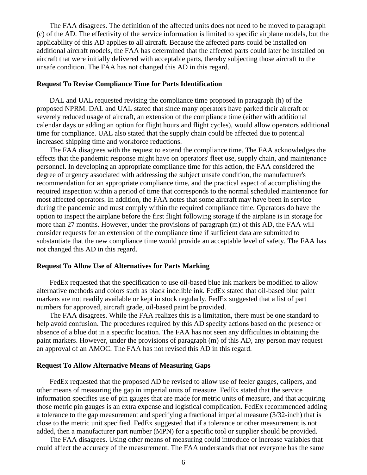The FAA disagrees. The definition of the affected units does not need to be moved to paragraph (c) of the AD. The effectivity of the service information is limited to specific airplane models, but the applicability of this AD applies to all aircraft. Because the affected parts could be installed on additional aircraft models, the FAA has determined that the affected parts could later be installed on aircraft that were initially delivered with acceptable parts, thereby subjecting those aircraft to the unsafe condition. The FAA has not changed this AD in this regard.

#### **Request To Revise Compliance Time for Parts Identification**

DAL and UAL requested revising the compliance time proposed in paragraph (h) of the proposed NPRM. DAL and UAL stated that since many operators have parked their aircraft or severely reduced usage of aircraft, an extension of the compliance time (either with additional calendar days or adding an option for flight hours and flight cycles), would allow operators additional time for compliance. UAL also stated that the supply chain could be affected due to potential increased shipping time and workforce reductions.

The FAA disagrees with the request to extend the compliance time. The FAA acknowledges the effects that the pandemic response might have on operators' fleet use, supply chain, and maintenance personnel. In developing an appropriate compliance time for this action, the FAA considered the degree of urgency associated with addressing the subject unsafe condition, the manufacturer's recommendation for an appropriate compliance time, and the practical aspect of accomplishing the required inspection within a period of time that corresponds to the normal scheduled maintenance for most affected operators. In addition, the FAA notes that some aircraft may have been in service during the pandemic and must comply within the required compliance time. Operators do have the option to inspect the airplane before the first flight following storage if the airplane is in storage for more than 27 months. However, under the provisions of paragraph (m) of this AD, the FAA will consider requests for an extension of the compliance time if sufficient data are submitted to substantiate that the new compliance time would provide an acceptable level of safety. The FAA has not changed this AD in this regard.

#### **Request To Allow Use of Alternatives for Parts Marking**

FedEx requested that the specification to use oil-based blue ink markers be modified to allow alternative methods and colors such as black indelible ink. FedEx stated that oil-based blue paint markers are not readily available or kept in stock regularly. FedEx suggested that a list of part numbers for approved, aircraft grade, oil-based paint be provided.

The FAA disagrees. While the FAA realizes this is a limitation, there must be one standard to help avoid confusion. The procedures required by this AD specify actions based on the presence or absence of a blue dot in a specific location. The FAA has not seen any difficulties in obtaining the paint markers. However, under the provisions of paragraph (m) of this AD, any person may request an approval of an AMOC. The FAA has not revised this AD in this regard.

#### **Request To Allow Alternative Means of Measuring Gaps**

FedEx requested that the proposed AD be revised to allow use of feeler gauges, calipers, and other means of measuring the gap in imperial units of measure. FedEx stated that the service information specifies use of pin gauges that are made for metric units of measure, and that acquiring those metric pin gauges is an extra expense and logistical complication. FedEx recommended adding a tolerance to the gap measurement and specifying a fractional imperial measure (3/32-inch) that is close to the metric unit specified. FedEx suggested that if a tolerance or other measurement is not added, then a manufacturer part number (MPN) for a specific tool or supplier should be provided.

The FAA disagrees. Using other means of measuring could introduce or increase variables that could affect the accuracy of the measurement. The FAA understands that not everyone has the same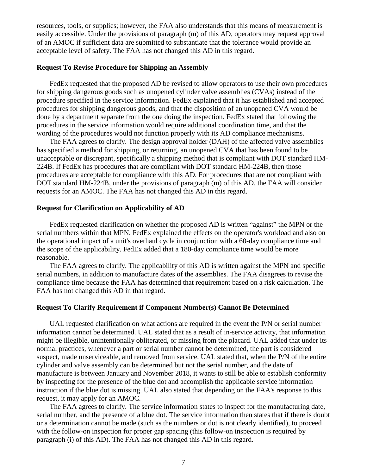resources, tools, or supplies; however, the FAA also understands that this means of measurement is easily accessible. Under the provisions of paragraph (m) of this AD, operators may request approval of an AMOC if sufficient data are submitted to substantiate that the tolerance would provide an acceptable level of safety. The FAA has not changed this AD in this regard.

## **Request To Revise Procedure for Shipping an Assembly**

FedEx requested that the proposed AD be revised to allow operators to use their own procedures for shipping dangerous goods such as unopened cylinder valve assemblies (CVAs) instead of the procedure specified in the service information. FedEx explained that it has established and accepted procedures for shipping dangerous goods, and that the disposition of an unopened CVA would be done by a department separate from the one doing the inspection. FedEx stated that following the procedures in the service information would require additional coordination time, and that the wording of the procedures would not function properly with its AD compliance mechanisms.

The FAA agrees to clarify. The design approval holder (DAH) of the affected valve assemblies has specified a method for shipping, or returning, an unopened CVA that has been found to be unacceptable or discrepant, specifically a shipping method that is compliant with DOT standard HM-224B. If FedEx has procedures that are compliant with DOT standard HM-224B, then those procedures are acceptable for compliance with this AD. For procedures that are not compliant with DOT standard HM-224B, under the provisions of paragraph (m) of this AD, the FAA will consider requests for an AMOC. The FAA has not changed this AD in this regard.

#### **Request for Clarification on Applicability of AD**

FedEx requested clarification on whether the proposed AD is written "against" the MPN or the serial numbers within that MPN. FedEx explained the effects on the operator's workload and also on the operational impact of a unit's overhaul cycle in conjunction with a 60-day compliance time and the scope of the applicability. FedEx added that a 180-day compliance time would be more reasonable.

The FAA agrees to clarify. The applicability of this AD is written against the MPN and specific serial numbers, in addition to manufacture dates of the assemblies. The FAA disagrees to revise the compliance time because the FAA has determined that requirement based on a risk calculation. The FAA has not changed this AD in that regard.

#### **Request To Clarify Requirement if Component Number(s) Cannot Be Determined**

UAL requested clarification on what actions are required in the event the P/N or serial number information cannot be determined. UAL stated that as a result of in-service activity, that information might be illegible, unintentionally obliterated, or missing from the placard. UAL added that under its normal practices, whenever a part or serial number cannot be determined, the part is considered suspect, made unserviceable, and removed from service. UAL stated that, when the P/N of the entire cylinder and valve assembly can be determined but not the serial number, and the date of manufacture is between January and November 2018, it wants to still be able to establish conformity by inspecting for the presence of the blue dot and accomplish the applicable service information instruction if the blue dot is missing. UAL also stated that depending on the FAA's response to this request, it may apply for an AMOC.

The FAA agrees to clarify. The service information states to inspect for the manufacturing date, serial number, and the presence of a blue dot. The service information then states that if there is doubt or a determination cannot be made (such as the numbers or dot is not clearly identified), to proceed with the follow-on inspection for proper gap spacing (this follow-on inspection is required by paragraph (i) of this AD). The FAA has not changed this AD in this regard.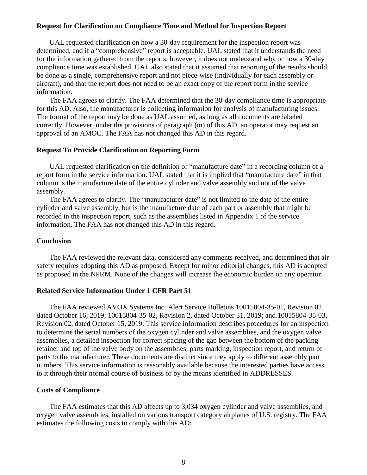## **Request for Clarification on Compliance Time and Method for Inspection Report**

UAL requested clarification on how a 30-day requirement for the inspection report was determined, and if a "comprehensive" report is acceptable. UAL stated that it understands the need for the information gathered from the reports; however, it does not understand why or how a 30-day compliance time was established. UAL also stated that it assumed that reporting of the results should be done as a single, comprehensive report and not piece-wise (individually for each assembly or aircraft), and that the report does not need to be an exact copy of the report form in the service information.

The FAA agrees to clarify. The FAA determined that the 30-day compliance time is appropriate for this AD. Also, the manufacturer is collecting information for analysis of manufacturing issues. The format of the report may be done as UAL assumed, as long as all documents are labeled correctly. However, under the provisions of paragraph (m) of this AD, an operator may request an approval of an AMOC. The FAA has not changed this AD in this regard.

## **Request To Provide Clarification on Reporting Form**

UAL requested clarification on the definition of "manufacture date" in a recording column of a report form in the service information. UAL stated that it is implied that "manufacture date" in that column is the manufacture date of the entire cylinder and valve assembly and not of the valve assembly.

The FAA agrees to clarify. The "manufacturer date" is not limited to the date of the entire cylinder and valve assembly, but is the manufacture date of each part or assembly that might be recorded in the inspection report, such as the assemblies listed in Appendix 1 of the service information. The FAA has not changed this AD in this regard.

## **Conclusion**

The FAA reviewed the relevant data, considered any comments received, and determined that air safety requires adopting this AD as proposed. Except for minor editorial changes, this AD is adopted as proposed in the NPRM. None of the changes will increase the economic burden on any operator.

# **Related Service Information Under 1 CFR Part 51**

The FAA reviewed AVOX Systems Inc. Alert Service Bulletins 10015804-35-01, Revision 02, dated October 16, 2019; 10015804-35-02, Revision 2, dated October 31, 2019; and 10015804-35-03, Revision 02, dated October 15, 2019. This service information describes procedures for an inspection to determine the serial numbers of the oxygen cylinder and valve assemblies, and the oxygen valve assemblies, a detailed inspection for correct spacing of the gap between the bottom of the packing retainer and top of the valve body on the assemblies, parts marking, inspection report, and return of parts to the manufacturer. These documents are distinct since they apply to different assembly part numbers. This service information is reasonably available because the interested parties have access to it through their normal course of business or by the means identified in ADDRESSES.

#### **Costs of Compliance**

The FAA estimates that this AD affects up to 3,034 oxygen cylinder and valve assemblies, and oxygen valve assemblies, installed on various transport category airplanes of U.S. registry. The FAA estimates the following costs to comply with this AD: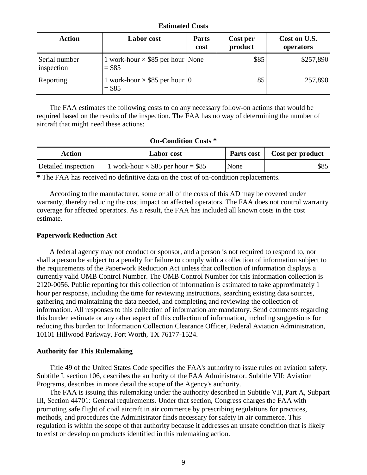#### **Estimated Costs**

| <b>Action</b>               | Labor cost                                         | <b>Parts</b><br>cost | Cost per<br>product | Cost on U.S.<br>operators |
|-----------------------------|----------------------------------------------------|----------------------|---------------------|---------------------------|
| Serial number<br>inspection | 1 work-hour $\times$ \$85 per hour None<br>$= $85$ |                      | \$85                | \$257,890                 |
| Reporting                   | 1 work-hour $\times$ \$85 per hour   0<br>$=$ \$85 |                      | 85                  | 257,890                   |

The FAA estimates the following costs to do any necessary follow-on actions that would be required based on the results of the inspection. The FAA has no way of determining the number of aircraft that might need these actions:

#### **On-Condition Costs \***

| Action              | <b>Labor</b> cost                         | Parts cost | Cost per product |
|---------------------|-------------------------------------------|------------|------------------|
| Detailed inspection | 1 work-hour $\times$ \$85 per hour = \$85 | None       | \$85             |

\* The FAA has received no definitive data on the cost of on-condition replacements.

According to the manufacturer, some or all of the costs of this AD may be covered under warranty, thereby reducing the cost impact on affected operators. The FAA does not control warranty coverage for affected operators. As a result, the FAA has included all known costs in the cost estimate.

#### **Paperwork Reduction Act**

A federal agency may not conduct or sponsor, and a person is not required to respond to, nor shall a person be subject to a penalty for failure to comply with a collection of information subject to the requirements of the Paperwork Reduction Act unless that collection of information displays a currently valid OMB Control Number. The OMB Control Number for this information collection is 2120-0056. Public reporting for this collection of information is estimated to take approximately 1 hour per response, including the time for reviewing instructions, searching existing data sources, gathering and maintaining the data needed, and completing and reviewing the collection of information. All responses to this collection of information are mandatory. Send comments regarding this burden estimate or any other aspect of this collection of information, including suggestions for reducing this burden to: Information Collection Clearance Officer, Federal Aviation Administration, 10101 Hillwood Parkway, Fort Worth, TX 76177-1524.

#### **Authority for This Rulemaking**

Title 49 of the United States Code specifies the FAA's authority to issue rules on aviation safety. Subtitle I, section 106, describes the authority of the FAA Administrator. Subtitle VII: Aviation Programs, describes in more detail the scope of the Agency's authority.

The FAA is issuing this rulemaking under the authority described in Subtitle VII, Part A, Subpart III, Section 44701: General requirements. Under that section, Congress charges the FAA with promoting safe flight of civil aircraft in air commerce by prescribing regulations for practices, methods, and procedures the Administrator finds necessary for safety in air commerce. This regulation is within the scope of that authority because it addresses an unsafe condition that is likely to exist or develop on products identified in this rulemaking action.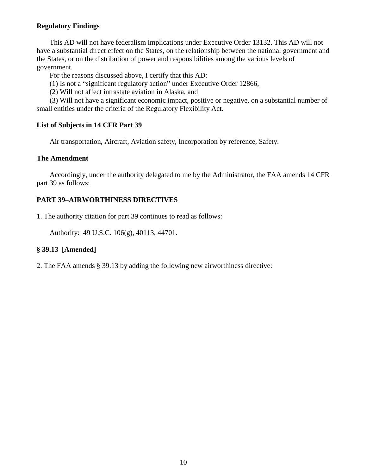# **Regulatory Findings**

This AD will not have federalism implications under Executive Order 13132. This AD will not have a substantial direct effect on the States, on the relationship between the national government and the States, or on the distribution of power and responsibilities among the various levels of government.

For the reasons discussed above, I certify that this AD:

(1) Is not a "significant regulatory action" under Executive Order 12866,

(2) Will not affect intrastate aviation in Alaska, and

(3) Will not have a significant economic impact, positive or negative, on a substantial number of small entities under the criteria of the Regulatory Flexibility Act.

# **List of Subjects in 14 CFR Part 39**

Air transportation, Aircraft, Aviation safety, Incorporation by reference, Safety.

# **The Amendment**

Accordingly, under the authority delegated to me by the Administrator, the FAA amends 14 CFR part 39 as follows:

# **PART 39–AIRWORTHINESS DIRECTIVES**

1. The authority citation for part 39 continues to read as follows:

Authority: 49 U.S.C. 106(g), 40113, 44701.

## **§ 39.13 [Amended]**

2. The FAA amends § 39.13 by adding the following new airworthiness directive: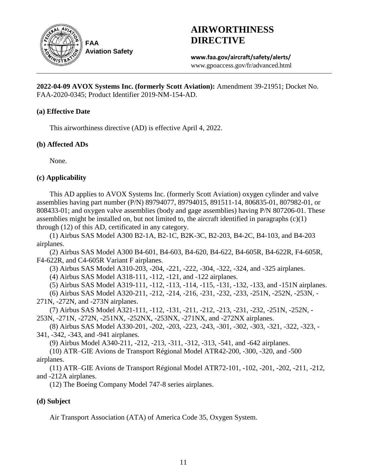

# **AIRWORTHINESS DIRECTIVE**

**www.faa.gov/aircraft/safety/alerts/** www.gpoaccess.gov/fr/advanced.html

**2022-04-09 AVOX Systems Inc. (formerly Scott Aviation):** Amendment 39-21951; Docket No. FAA-2020-0345; Product Identifier 2019-NM-154-AD.

# **(a) Effective Date**

This airworthiness directive (AD) is effective April 4, 2022.

# **(b) Affected ADs**

None.

# **(c) Applicability**

This AD applies to AVOX Systems Inc. (formerly Scott Aviation) oxygen cylinder and valve assemblies having part number (P/N) 89794077, 89794015, 891511-14, 806835-01, 807982-01, or 808433-01; and oxygen valve assemblies (body and gage assemblies) having P/N 807206-01. These assemblies might be installed on, but not limited to, the aircraft identified in paragraphs  $(c)(1)$ through (12) of this AD, certificated in any category.

(1) Airbus SAS Model A300 B2-1A, B2-1C, B2K-3C, B2-203, B4-2C, B4-103, and B4-203 airplanes.

(2) Airbus SAS Model A300 B4-601, B4-603, B4-620, B4-622, B4-605R, B4-622R, F4-605R, F4-622R, and C4-605R Variant F airplanes.

(3) Airbus SAS Model A310-203, -204, -221, -222, -304, -322, -324, and -325 airplanes.

(4) Airbus SAS Model A318-111, -112, -121, and -122 airplanes.

(5) Airbus SAS Model A319-111, -112, -113, -114, -115, -131, -132, -133, and -151N airplanes.

(6) Airbus SAS Model A320-211, -212, -214, -216, -231, -232, -233, -251N, -252N, -253N, - 271N, -272N, and -273N airplanes.

(7) Airbus SAS Model A321-111, -112, -131, -211, -212, -213, -231, -232, -251N, -252N, - 253N, -271N, -272N, -251NX, -252NX, -253NX, -271NX, and -272NX airplanes.

(8) Airbus SAS Model A330-201, -202, -203, -223, -243, -301, -302, -303, -321, -322, -323, - 341, -342, -343, and -941 airplanes.

(9) Airbus Model A340-211, -212, -213, -311, -312, -313, -541, and -642 airplanes.

(10) ATR–GIE Avions de Transport Régional Model ATR42-200, -300, -320, and -500 airplanes.

(11) ATR–GIE Avions de Transport Régional Model ATR72-101, -102, -201, -202, -211, -212, and -212A airplanes.

(12) The Boeing Company Model 747-8 series airplanes.

# **(d) Subject**

Air Transport Association (ATA) of America Code 35, Oxygen System.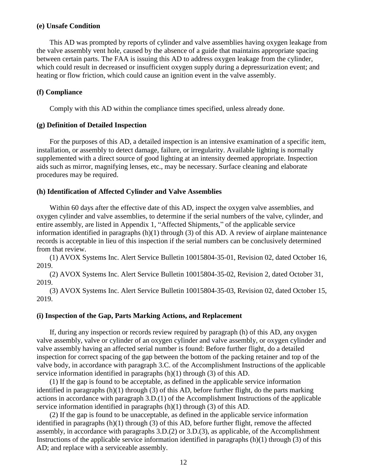## **(e) Unsafe Condition**

This AD was prompted by reports of cylinder and valve assemblies having oxygen leakage from the valve assembly vent hole, caused by the absence of a guide that maintains appropriate spacing between certain parts. The FAA is issuing this AD to address oxygen leakage from the cylinder, which could result in decreased or insufficient oxygen supply during a depressurization event; and heating or flow friction, which could cause an ignition event in the valve assembly.

## **(f) Compliance**

Comply with this AD within the compliance times specified, unless already done.

## **(g) Definition of Detailed Inspection**

For the purposes of this AD, a detailed inspection is an intensive examination of a specific item, installation, or assembly to detect damage, failure, or irregularity. Available lighting is normally supplemented with a direct source of good lighting at an intensity deemed appropriate. Inspection aids such as mirror, magnifying lenses, etc., may be necessary. Surface cleaning and elaborate procedures may be required.

## **(h) Identification of Affected Cylinder and Valve Assemblies**

Within 60 days after the effective date of this AD, inspect the oxygen valve assemblies, and oxygen cylinder and valve assemblies, to determine if the serial numbers of the valve, cylinder, and entire assembly, are listed in Appendix 1, "Affected Shipments," of the applicable service information identified in paragraphs (h)(1) through (3) of this AD. A review of airplane maintenance records is acceptable in lieu of this inspection if the serial numbers can be conclusively determined from that review.

(1) AVOX Systems Inc. Alert Service Bulletin 10015804-35-01, Revision 02, dated October 16, 2019.

(2) AVOX Systems Inc. Alert Service Bulletin 10015804-35-02, Revision 2, dated October 31, 2019.

(3) AVOX Systems Inc. Alert Service Bulletin 10015804-35-03, Revision 02, dated October 15, 2019.

#### **(i) Inspection of the Gap, Parts Marking Actions, and Replacement**

If, during any inspection or records review required by paragraph (h) of this AD, any oxygen valve assembly, valve or cylinder of an oxygen cylinder and valve assembly, or oxygen cylinder and valve assembly having an affected serial number is found: Before further flight, do a detailed inspection for correct spacing of the gap between the bottom of the packing retainer and top of the valve body, in accordance with paragraph 3.C. of the Accomplishment Instructions of the applicable service information identified in paragraphs (h)(1) through (3) of this AD.

(1) If the gap is found to be acceptable, as defined in the applicable service information identified in paragraphs (h)(1) through (3) of this AD, before further flight, do the parts marking actions in accordance with paragraph 3.D.(1) of the Accomplishment Instructions of the applicable service information identified in paragraphs (h)(1) through (3) of this AD.

(2) If the gap is found to be unacceptable, as defined in the applicable service information identified in paragraphs  $(h)(1)$  through  $(3)$  of this AD, before further flight, remove the affected assembly, in accordance with paragraphs 3.D.(2) or 3.D.(3), as applicable, of the Accomplishment Instructions of the applicable service information identified in paragraphs (h)(1) through (3) of this AD; and replace with a serviceable assembly.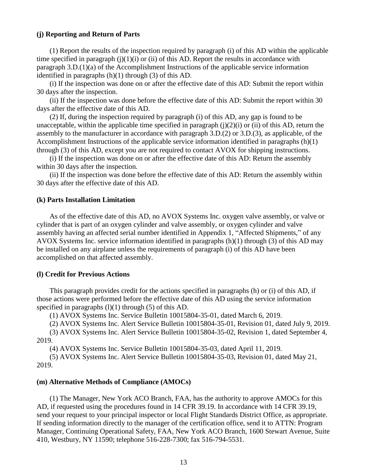## **(j) Reporting and Return of Parts**

(1) Report the results of the inspection required by paragraph (i) of this AD within the applicable time specified in paragraph  $(j)(1)(i)$  or  $(ii)$  of this AD. Report the results in accordance with paragraph 3.D.(1)(a) of the Accomplishment Instructions of the applicable service information identified in paragraphs (h)(1) through (3) of this AD.

(i) If the inspection was done on or after the effective date of this AD: Submit the report within 30 days after the inspection.

(ii) If the inspection was done before the effective date of this AD: Submit the report within 30 days after the effective date of this AD.

(2) If, during the inspection required by paragraph (i) of this AD, any gap is found to be unacceptable, within the applicable time specified in paragraph  $(j)(2)(i)$  or  $(ii)$  of this AD, return the assembly to the manufacturer in accordance with paragraph 3.D.(2) or 3.D.(3), as applicable, of the Accomplishment Instructions of the applicable service information identified in paragraphs (h)(1) through (3) of this AD, except you are not required to contact AVOX for shipping instructions.

(i) If the inspection was done on or after the effective date of this AD: Return the assembly within 30 days after the inspection.

(ii) If the inspection was done before the effective date of this AD: Return the assembly within 30 days after the effective date of this AD.

#### **(k) Parts Installation Limitation**

As of the effective date of this AD, no AVOX Systems Inc. oxygen valve assembly, or valve or cylinder that is part of an oxygen cylinder and valve assembly, or oxygen cylinder and valve assembly having an affected serial number identified in Appendix 1, "Affected Shipments," of any AVOX Systems Inc. service information identified in paragraphs (h)(1) through (3) of this AD may be installed on any airplane unless the requirements of paragraph (i) of this AD have been accomplished on that affected assembly.

### **(l) Credit for Previous Actions**

This paragraph provides credit for the actions specified in paragraphs (h) or (i) of this AD, if those actions were performed before the effective date of this AD using the service information specified in paragraphs  $(l)(1)$  through (5) of this AD.

(1) AVOX Systems Inc. Service Bulletin 10015804-35-01, dated March 6, 2019.

(2) AVOX Systems Inc. Alert Service Bulletin 10015804-35-01, Revision 01, dated July 9, 2019.

(3) AVOX Systems Inc. Alert Service Bulletin 10015804-35-02, Revision 1, dated September 4, 2019.

(4) AVOX Systems Inc. Service Bulletin 10015804-35-03, dated April 11, 2019.

(5) AVOX Systems Inc. Alert Service Bulletin 10015804-35-03, Revision 01, dated May 21, 2019.

#### **(m) Alternative Methods of Compliance (AMOCs)**

(1) The Manager, New York ACO Branch, FAA, has the authority to approve AMOCs for this AD, if requested using the procedures found in 14 CFR 39.19. In accordance with 14 CFR 39.19, send your request to your principal inspector or local Flight Standards District Office, as appropriate. If sending information directly to the manager of the certification office, send it to ATTN: Program Manager, Continuing Operational Safety, FAA, New York ACO Branch, 1600 Stewart Avenue, Suite 410, Westbury, NY 11590; telephone 516-228-7300; fax 516-794-5531.